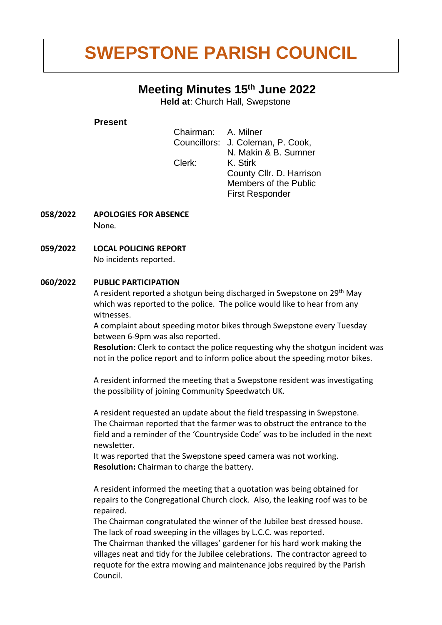# **SWEPSTONE PARISH COUNCIL**

### **Meeting Minutes 15 th June 2022**

**Held at**: Church Hall, Swepstone

#### **Present**

| Chairman: A. Milner |                                   |
|---------------------|-----------------------------------|
|                     | Councillors: J. Coleman, P. Cook, |
|                     | N. Makin & B. Sumner              |
| Clerk:              | K. Stirk                          |
|                     | County Cllr. D. Harrison          |
|                     | Members of the Public             |
|                     | <b>First Responder</b>            |

- **058/2022 APOLOGIES FOR ABSENCE None.**
- **059/2022 LOCAL POLICING REPORT** No incidents reported.

#### **060/2022 PUBLIC PARTICIPATION**

A resident reported a shotgun being discharged in Swepstone on 29<sup>th</sup> May which was reported to the police. The police would like to hear from any witnesses.

A complaint about speeding motor bikes through Swepstone every Tuesday between 6-9pm was also reported.

**Resolution:** Clerk to contact the police requesting why the shotgun incident was not in the police report and to inform police about the speeding motor bikes.

A resident informed the meeting that a Swepstone resident was investigating the possibility of joining Community Speedwatch UK.

A resident requested an update about the field trespassing in Swepstone. The Chairman reported that the farmer was to obstruct the entrance to the field and a reminder of the 'Countryside Code' was to be included in the next newsletter.

It was reported that the Swepstone speed camera was not working. **Resolution:** Chairman to charge the battery.

A resident informed the meeting that a quotation was being obtained for repairs to the Congregational Church clock. Also, the leaking roof was to be repaired.

The Chairman congratulated the winner of the Jubilee best dressed house. The lack of road sweeping in the villages by L.C.C. was reported.

The Chairman thanked the villages' gardener for his hard work making the villages neat and tidy for the Jubilee celebrations. The contractor agreed to requote for the extra mowing and maintenance jobs required by the Parish Council.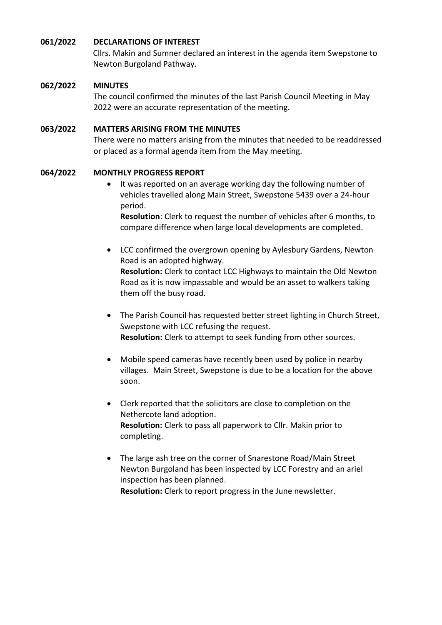#### **061/2022 DECLARATIONS OF INTEREST**

Cllrs. Makin and Sumner declared an interest in the agenda item Swepstone to Newton Burgoland Pathway.

#### **062/2022 MINUTES**

The council confirmed the minutes of the last Parish Council Meeting in May 2022 were an accurate representation of the meeting.

#### **063/2022 MATTERS ARISING FROM THE MINUTES**

There were no matters arising from the minutes that needed to be readdressed or placed as a formal agenda item from the May meeting.

#### **064/2022 MONTHLY PROGRESS REPORT**

• It was reported on an average working day the following number of vehicles travelled along Main Street, Swepstone 5439 over a 24-hour period.

**Resolution**: Clerk to request the number of vehicles after 6 months, to compare difference when large local developments are completed.

• LCC confirmed the overgrown opening by Aylesbury Gardens, Newton Road is an adopted highway. **Resolution:** Clerk to contact LCC Highways to maintain the Old Newton Road as it is now impassable and would be an asset to walkers taking

them off the busy road.

- The Parish Council has requested better street lighting in Church Street, Swepstone with LCC refusing the request. **Resolution:** Clerk to attempt to seek funding from other sources.
- Mobile speed cameras have recently been used by police in nearby villages. Main Street, Swepstone is due to be a location for the above soon.
- Clerk reported that the solicitors are close to completion on the Nethercote land adoption. **Resolution:** Clerk to pass all paperwork to Cllr. Makin prior to completing.
- The large ash tree on the corner of Snarestone Road/Main Street Newton Burgoland has been inspected by LCC Forestry and an ariel inspection has been planned. **Resolution:** Clerk to report progress in the June newsletter.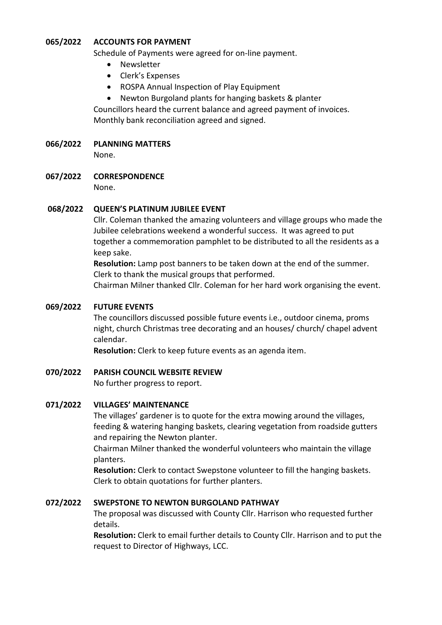#### **065/2022 ACCOUNTS FOR PAYMENT**

Schedule of Payments were agreed for on-line payment.

- Newsletter
- Clerk's Expenses
- ROSPA Annual Inspection of Play Equipment
- Newton Burgoland plants for hanging baskets & planter

Councillors heard the current balance and agreed payment of invoices. Monthly bank reconciliation agreed and signed.

#### **066/2022 PLANNING MATTERS**

None.

**067/2022 CORRESPONDENCE**

None.

#### **068/2022 QUEEN'S PLATINUM JUBILEE EVENT**

Cllr. Coleman thanked the amazing volunteers and village groups who made the Jubilee celebrations weekend a wonderful success. It was agreed to put together a commemoration pamphlet to be distributed to all the residents as a keep sake.

**Resolution:** Lamp post banners to be taken down at the end of the summer. Clerk to thank the musical groups that performed.

Chairman Milner thanked Cllr. Coleman for her hard work organising the event.

#### **069/2022 FUTURE EVENTS**

The councillors discussed possible future events i.e., outdoor cinema, proms night, church Christmas tree decorating and an houses/ church/ chapel advent calendar.

**Resolution:** Clerk to keep future events as an agenda item.

#### **070/2022 PARISH COUNCIL WEBSITE REVIEW**

No further progress to report.

#### **071/2022 VILLAGES' MAINTENANCE**

The villages' gardener is to quote for the extra mowing around the villages, feeding & watering hanging baskets, clearing vegetation from roadside gutters and repairing the Newton planter.

Chairman Milner thanked the wonderful volunteers who maintain the village planters.

**Resolution:** Clerk to contact Swepstone volunteer to fill the hanging baskets. Clerk to obtain quotations for further planters.

#### **072/2022 SWEPSTONE TO NEWTON BURGOLAND PATHWAY**

The proposal was discussed with County Cllr. Harrison who requested further details.

**Resolution:** Clerk to email further details to County Cllr. Harrison and to put the request to Director of Highways, LCC.